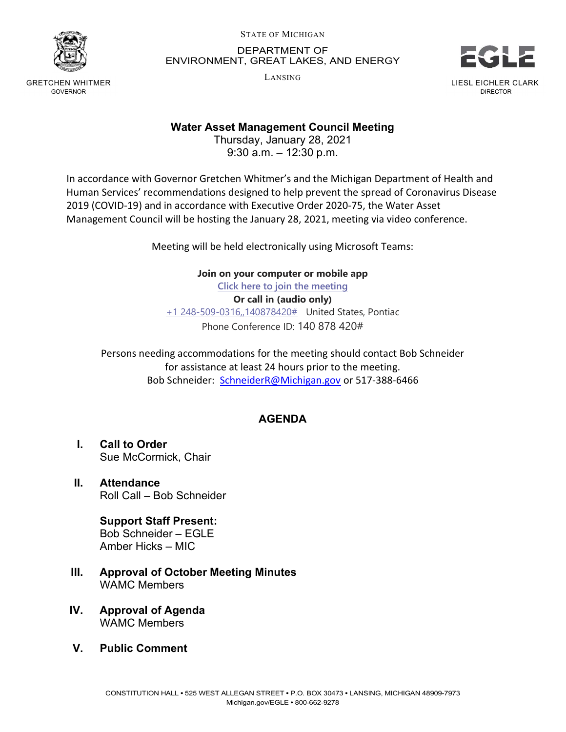

GRETCHEN WHITMER GOVERNOR

STATE OF MICHIGAN

 DEPARTMENT OF ENVIRONMENT, GREAT LAKES, AND ENERGY

LANSING



Water Asset Management Council Meeting

 Thursday, January 28, 2021 9:30 a.m. – 12:30 p.m.

 In accordance with Governor Gretchen Whitmer's and the Michigan Department of Health and Human Services' recommendations designed to help prevent the spread of Coronavirus Disease 2019 (COVID-19) and in accordance with Executive Order 2020-75, the Water Asset Management Council will be hosting the January 28, 2021, meeting via video conference.

Meeting will be held electronically using Microsoft Teams:

 Join on your computer or mobile app Click here to join the meeting Or call in (audio only) +1 248-509-0316,,140878420# United States, Pontiac Phone Conference ID: 140 878 420#

 Persons needing accommodations for the meeting should contact Bob Schneider for assistance at least 24 hours prior to the meeting. Bob Schneider: [SchneiderR@Michigan.gov](mailto:SchneiderR@Michigan.gov) or 517-388-6466

## AGENDA

- $\mathbf{L}$  Sue McCormick, Chair **Call to Order**
- Roll Call Bob Schneider II. Attendance

 Support Staff Present: Bob Schneider – EGLE Amber Hicks – MIC

- III. Approval of October Meeting Minutes WAMC Members
- IV. Approval of Agenda WAMC Members
- $V_{\rm c}$ **Public Comment**